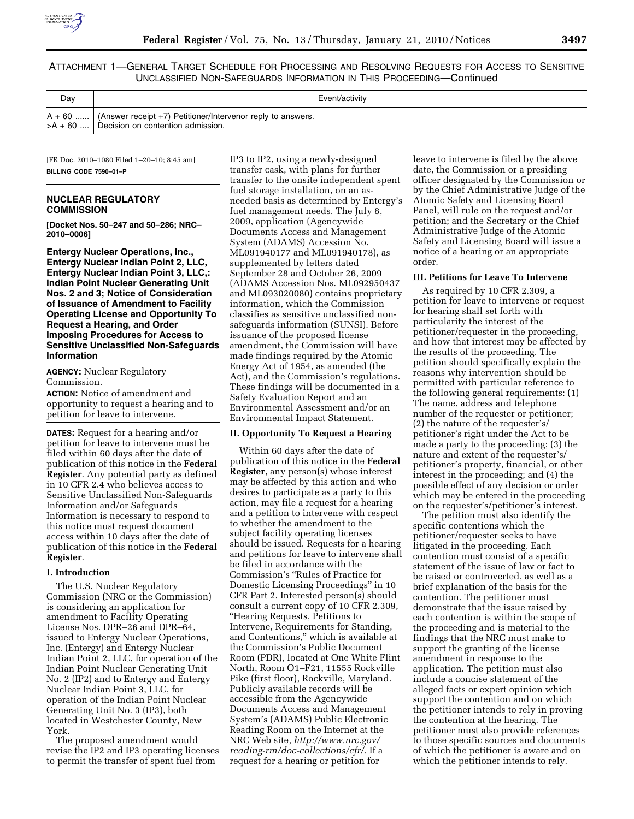

ATTACHMENT 1—GENERAL TARGET SCHEDULE FOR PROCESSING AND RESOLVING REQUESTS FOR ACCESS TO SENSITIVE UNCLASSIFIED NON-SAFEGUARDS INFORMATION IN THIS PROCEEDING—Continued

| Day | Event/activity                                                                                                           |
|-----|--------------------------------------------------------------------------------------------------------------------------|
|     | $A + 60$   (Answer receipt +7) Petitioner/Intervenor reply to answers.<br>$> A + 60$ , Decision on contention admission. |

[FR Doc. 2010–1080 Filed 1–20–10; 8:45 am] **BILLING CODE 7590–01–P** 

# **NUCLEAR REGULATORY COMMISSION**

**[Docket Nos. 50–247 and 50–286; NRC– 2010–0006]** 

**Entergy Nuclear Operations, Inc., Entergy Nuclear Indian Point 2, LLC, Entergy Nuclear Indian Point 3, LLC,: Indian Point Nuclear Generating Unit Nos. 2 and 3; Notice of Consideration of Issuance of Amendment to Facility Operating License and Opportunity To Request a Hearing, and Order Imposing Procedures for Access to Sensitive Unclassified Non-Safeguards Information** 

**AGENCY:** Nuclear Regulatory Commission.

**ACTION:** Notice of amendment and opportunity to request a hearing and to petition for leave to intervene.

**DATES:** Request for a hearing and/or petition for leave to intervene must be filed within 60 days after the date of publication of this notice in the **Federal Register**. Any potential party as defined in 10 CFR 2.4 who believes access to Sensitive Unclassified Non-Safeguards Information and/or Safeguards Information is necessary to respond to this notice must request document access within 10 days after the date of publication of this notice in the **Federal Register**.

## **I. Introduction**

The U.S. Nuclear Regulatory Commission (NRC or the Commission) is considering an application for amendment to Facility Operating License Nos. DPR–26 and DPR–64, issued to Entergy Nuclear Operations, Inc. (Entergy) and Entergy Nuclear Indian Point 2, LLC, for operation of the Indian Point Nuclear Generating Unit No. 2 (IP2) and to Entergy and Entergy Nuclear Indian Point 3, LLC, for operation of the Indian Point Nuclear Generating Unit No. 3 (IP3), both located in Westchester County, New York.

The proposed amendment would revise the IP2 and IP3 operating licenses to permit the transfer of spent fuel from

IP3 to IP2, using a newly-designed transfer cask, with plans for further transfer to the onsite independent spent fuel storage installation, on an asneeded basis as determined by Entergy's fuel management needs. The July 8, 2009, application (Agencywide Documents Access and Management System (ADAMS) Accession No. ML091940177 and ML091940178), as supplemented by letters dated September 28 and October 26, 2009 (ADAMS Accession Nos. ML092950437 and ML093020080) contains proprietary information, which the Commission classifies as sensitive unclassified nonsafeguards information (SUNSI). Before issuance of the proposed license amendment, the Commission will have made findings required by the Atomic Energy Act of 1954, as amended (the Act), and the Commission's regulations. These findings will be documented in a Safety Evaluation Report and an Environmental Assessment and/or an Environmental Impact Statement.

#### **II. Opportunity To Request a Hearing**

Within 60 days after the date of publication of this notice in the **Federal Register**, any person(s) whose interest may be affected by this action and who desires to participate as a party to this action, may file a request for a hearing and a petition to intervene with respect to whether the amendment to the subject facility operating licenses should be issued. Requests for a hearing and petitions for leave to intervene shall be filed in accordance with the Commission's ''Rules of Practice for Domestic Licensing Proceedings'' in 10 CFR Part 2. Interested person(s) should consult a current copy of 10 CFR 2.309, ''Hearing Requests, Petitions to Intervene, Requirements for Standing, and Contentions,'' which is available at the Commission's Public Document Room (PDR), located at One White Flint North, Room O1–F21, 11555 Rockville Pike (first floor), Rockville, Maryland. Publicly available records will be accessible from the Agencywide Documents Access and Management System's (ADAMS) Public Electronic Reading Room on the Internet at the NRC Web site, *http://www.nrc.gov/ reading-rm/doc-collections/cfr/.* If a request for a hearing or petition for

leave to intervene is filed by the above date, the Commission or a presiding officer designated by the Commission or by the Chief Administrative Judge of the Atomic Safety and Licensing Board Panel, will rule on the request and/or petition; and the Secretary or the Chief Administrative Judge of the Atomic Safety and Licensing Board will issue a notice of a hearing or an appropriate order.

#### **III. Petitions for Leave To Intervene**

As required by 10 CFR 2.309, a petition for leave to intervene or request for hearing shall set forth with particularity the interest of the petitioner/requester in the proceeding, and how that interest may be affected by the results of the proceeding. The petition should specifically explain the reasons why intervention should be permitted with particular reference to the following general requirements: (1) The name, address and telephone number of the requester or petitioner; (2) the nature of the requester's/ petitioner's right under the Act to be made a party to the proceeding; (3) the nature and extent of the requester's/ petitioner's property, financial, or other interest in the proceeding; and (4) the possible effect of any decision or order which may be entered in the proceeding on the requester's/petitioner's interest.

The petition must also identify the specific contentions which the petitioner/requester seeks to have litigated in the proceeding. Each contention must consist of a specific statement of the issue of law or fact to be raised or controverted, as well as a brief explanation of the basis for the contention. The petitioner must demonstrate that the issue raised by each contention is within the scope of the proceeding and is material to the findings that the NRC must make to support the granting of the license amendment in response to the application. The petition must also include a concise statement of the alleged facts or expert opinion which support the contention and on which the petitioner intends to rely in proving the contention at the hearing. The petitioner must also provide references to those specific sources and documents of which the petitioner is aware and on which the petitioner intends to rely.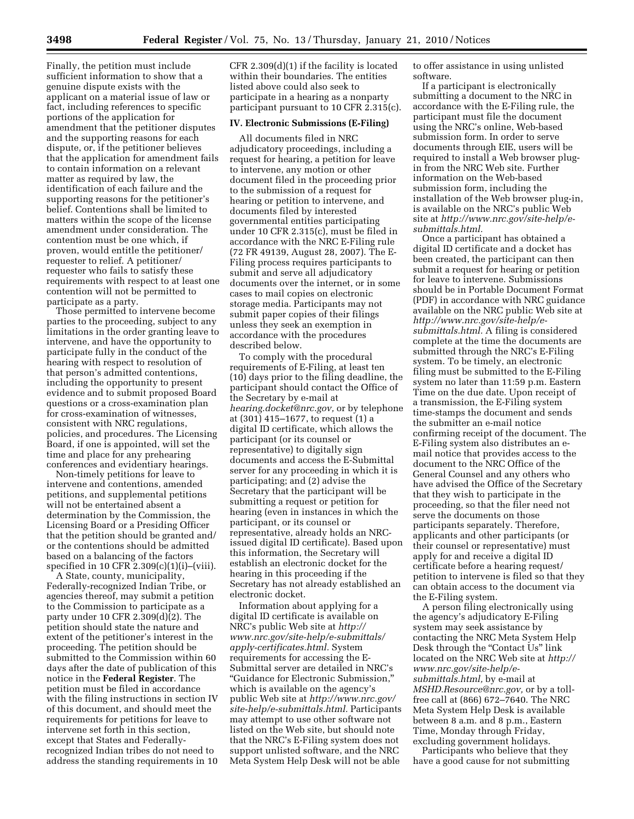Finally, the petition must include sufficient information to show that a genuine dispute exists with the applicant on a material issue of law or fact, including references to specific portions of the application for amendment that the petitioner disputes and the supporting reasons for each dispute, or, if the petitioner believes that the application for amendment fails to contain information on a relevant matter as required by law, the identification of each failure and the supporting reasons for the petitioner's belief. Contentions shall be limited to matters within the scope of the license amendment under consideration. The contention must be one which, if proven, would entitle the petitioner/ requester to relief. A petitioner/ requester who fails to satisfy these requirements with respect to at least one contention will not be permitted to participate as a party.

Those permitted to intervene become parties to the proceeding, subject to any limitations in the order granting leave to intervene, and have the opportunity to participate fully in the conduct of the hearing with respect to resolution of that person's admitted contentions, including the opportunity to present evidence and to submit proposed Board questions or a cross-examination plan for cross-examination of witnesses, consistent with NRC regulations, policies, and procedures. The Licensing Board, if one is appointed, will set the time and place for any prehearing conferences and evidentiary hearings.

Non-timely petitions for leave to intervene and contentions, amended petitions, and supplemental petitions will not be entertained absent a determination by the Commission, the Licensing Board or a Presiding Officer that the petition should be granted and/ or the contentions should be admitted based on a balancing of the factors specified in 10 CFR 2.309(c)(1)(i)–(viii).

A State, county, municipality, Federally-recognized Indian Tribe, or agencies thereof, may submit a petition to the Commission to participate as a party under 10 CFR 2.309(d)(2). The petition should state the nature and extent of the petitioner's interest in the proceeding. The petition should be submitted to the Commission within 60 days after the date of publication of this notice in the **Federal Register**. The petition must be filed in accordance with the filing instructions in section IV of this document, and should meet the requirements for petitions for leave to intervene set forth in this section, except that States and Federallyrecognized Indian tribes do not need to address the standing requirements in 10

CFR 2.309(d)(1) if the facility is located within their boundaries. The entities listed above could also seek to participate in a hearing as a nonparty participant pursuant to 10 CFR 2.315(c).

#### **IV. Electronic Submissions (E-Filing)**

All documents filed in NRC adjudicatory proceedings, including a request for hearing, a petition for leave to intervene, any motion or other document filed in the proceeding prior to the submission of a request for hearing or petition to intervene, and documents filed by interested governmental entities participating under 10 CFR 2.315(c), must be filed in accordance with the NRC E-Filing rule (72 FR 49139, August 28, 2007). The E-Filing process requires participants to submit and serve all adjudicatory documents over the internet, or in some cases to mail copies on electronic storage media. Participants may not submit paper copies of their filings unless they seek an exemption in accordance with the procedures described below.

To comply with the procedural requirements of E-Filing, at least ten (10) days prior to the filing deadline, the participant should contact the Office of the Secretary by e-mail at *hearing.docket@nrc.gov,* or by telephone at (301) 415–1677, to request (1) a digital ID certificate, which allows the participant (or its counsel or representative) to digitally sign documents and access the E-Submittal server for any proceeding in which it is participating; and (2) advise the Secretary that the participant will be submitting a request or petition for hearing (even in instances in which the participant, or its counsel or representative, already holds an NRCissued digital ID certificate). Based upon this information, the Secretary will establish an electronic docket for the hearing in this proceeding if the Secretary has not already established an electronic docket.

Information about applying for a digital ID certificate is available on NRC's public Web site at *http:// www.nrc.gov/site-help/e-submittals/ apply-certificates.html.* System requirements for accessing the E-Submittal server are detailed in NRC's ''Guidance for Electronic Submission,'' which is available on the agency's public Web site at *http://www.nrc.gov/ site-help/e-submittals.html.* Participants may attempt to use other software not listed on the Web site, but should note that the NRC's E-Filing system does not support unlisted software, and the NRC Meta System Help Desk will not be able

to offer assistance in using unlisted software.

If a participant is electronically submitting a document to the NRC in accordance with the E-Filing rule, the participant must file the document using the NRC's online, Web-based submission form. In order to serve documents through EIE, users will be required to install a Web browser plugin from the NRC Web site. Further information on the Web-based submission form, including the installation of the Web browser plug-in, is available on the NRC's public Web site at *http://www.nrc.gov/site-help/esubmittals.html.* 

Once a participant has obtained a digital ID certificate and a docket has been created, the participant can then submit a request for hearing or petition for leave to intervene. Submissions should be in Portable Document Format (PDF) in accordance with NRC guidance available on the NRC public Web site at *http://www.nrc.gov/site-help/esubmittals.html.* A filing is considered complete at the time the documents are submitted through the NRC's E-Filing system. To be timely, an electronic filing must be submitted to the E-Filing system no later than 11:59 p.m. Eastern Time on the due date. Upon receipt of a transmission, the E-Filing system time-stamps the document and sends the submitter an e-mail notice confirming receipt of the document. The E-Filing system also distributes an email notice that provides access to the document to the NRC Office of the General Counsel and any others who have advised the Office of the Secretary that they wish to participate in the proceeding, so that the filer need not serve the documents on those participants separately. Therefore, applicants and other participants (or their counsel or representative) must apply for and receive a digital ID certificate before a hearing request/ petition to intervene is filed so that they can obtain access to the document via the E-Filing system.

A person filing electronically using the agency's adjudicatory E-Filing system may seek assistance by contacting the NRC Meta System Help Desk through the "Contact Us" link located on the NRC Web site at *http:// www.nrc.gov/site-help/esubmittals.html,* by e-mail at *MSHD.Resource@nrc.gov,* or by a tollfree call at (866) 672–7640. The NRC Meta System Help Desk is available between 8 a.m. and 8 p.m., Eastern Time, Monday through Friday, excluding government holidays.

Participants who believe that they have a good cause for not submitting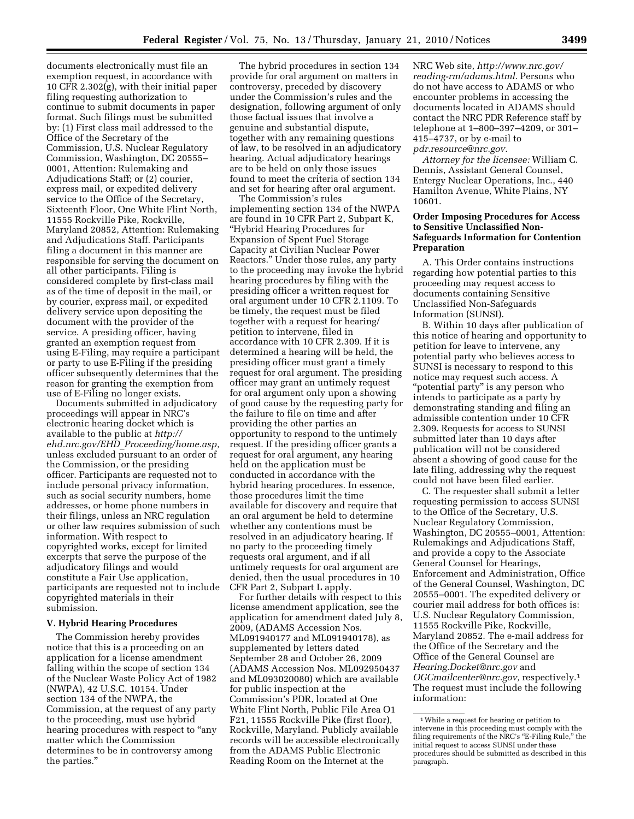documents electronically must file an exemption request, in accordance with 10 CFR 2.302(g), with their initial paper filing requesting authorization to continue to submit documents in paper format. Such filings must be submitted by: (1) First class mail addressed to the Office of the Secretary of the Commission, U.S. Nuclear Regulatory Commission, Washington, DC 20555– 0001, Attention: Rulemaking and Adjudications Staff; or (2) courier, express mail, or expedited delivery service to the Office of the Secretary, Sixteenth Floor, One White Flint North, 11555 Rockville Pike, Rockville, Maryland 20852, Attention: Rulemaking and Adjudications Staff. Participants filing a document in this manner are responsible for serving the document on all other participants. Filing is considered complete by first-class mail as of the time of deposit in the mail, or by courier, express mail, or expedited delivery service upon depositing the document with the provider of the service. A presiding officer, having granted an exemption request from using E-Filing, may require a participant or party to use E-Filing if the presiding officer subsequently determines that the

use of E-Filing no longer exists. Documents submitted in adjudicatory proceedings will appear in NRC's electronic hearing docket which is available to the public at *http:// ehd.nrc.gov/EHD*\_*Proceeding/home.asp,*  unless excluded pursuant to an order of the Commission, or the presiding officer. Participants are requested not to include personal privacy information, such as social security numbers, home addresses, or home phone numbers in their filings, unless an NRC regulation or other law requires submission of such information. With respect to copyrighted works, except for limited excerpts that serve the purpose of the adjudicatory filings and would constitute a Fair Use application, participants are requested not to include copyrighted materials in their submission.

reason for granting the exemption from

#### **V. Hybrid Hearing Procedures**

The Commission hereby provides notice that this is a proceeding on an application for a license amendment falling within the scope of section 134 of the Nuclear Waste Policy Act of 1982 (NWPA), 42 U.S.C. 10154. Under section 134 of the NWPA, the Commission, at the request of any party to the proceeding, must use hybrid hearing procedures with respect to "any matter which the Commission determines to be in controversy among the parties.''

The hybrid procedures in section 134 provide for oral argument on matters in controversy, preceded by discovery under the Commission's rules and the designation, following argument of only those factual issues that involve a genuine and substantial dispute, together with any remaining questions of law, to be resolved in an adjudicatory hearing. Actual adjudicatory hearings are to be held on only those issues found to meet the criteria of section 134 and set for hearing after oral argument.

The Commission's rules implementing section 134 of the NWPA are found in 10 CFR Part 2, Subpart K, ''Hybrid Hearing Procedures for Expansion of Spent Fuel Storage Capacity at Civilian Nuclear Power Reactors.'' Under those rules, any party to the proceeding may invoke the hybrid hearing procedures by filing with the presiding officer a written request for oral argument under 10 CFR 2.1109. To be timely, the request must be filed together with a request for hearing/ petition to intervene, filed in accordance with 10 CFR 2.309. If it is determined a hearing will be held, the presiding officer must grant a timely request for oral argument. The presiding officer may grant an untimely request for oral argument only upon a showing of good cause by the requesting party for the failure to file on time and after providing the other parties an opportunity to respond to the untimely request. If the presiding officer grants a request for oral argument, any hearing held on the application must be conducted in accordance with the hybrid hearing procedures. In essence, those procedures limit the time available for discovery and require that an oral argument be held to determine whether any contentions must be resolved in an adjudicatory hearing. If no party to the proceeding timely requests oral argument, and if all untimely requests for oral argument are denied, then the usual procedures in 10 CFR Part 2, Subpart L apply.

For further details with respect to this license amendment application, see the application for amendment dated July 8, 2009, (ADAMS Accession Nos. ML091940177 and ML091940178), as supplemented by letters dated September 28 and October 26, 2009 (ADAMS Accession Nos. ML092950437 and ML093020080) which are available for public inspection at the Commission's PDR, located at One White Flint North, Public File Area O1 F21, 11555 Rockville Pike (first floor), Rockville, Maryland. Publicly available records will be accessible electronically from the ADAMS Public Electronic Reading Room on the Internet at the

NRC Web site, *http://www.nrc.gov/ reading-rm/adams.html.* Persons who do not have access to ADAMS or who encounter problems in accessing the documents located in ADAMS should contact the NRC PDR Reference staff by telephone at 1–800–397–4209, or 301– 415–4737, or by e-mail to *pdr.resource@nrc.gov.* 

*Attorney for the licensee:* William C. Dennis, Assistant General Counsel, Entergy Nuclear Operations, Inc., 440 Hamilton Avenue, White Plains, NY 10601.

## **Order Imposing Procedures for Access to Sensitive Unclassified Non-Safeguards Information for Contention Preparation**

A. This Order contains instructions regarding how potential parties to this proceeding may request access to documents containing Sensitive Unclassified Non-Safeguards Information (SUNSI).

B. Within 10 days after publication of this notice of hearing and opportunity to petition for leave to intervene, any potential party who believes access to SUNSI is necessary to respond to this notice may request such access. A "potential party" is any person who intends to participate as a party by demonstrating standing and filing an admissible contention under 10 CFR 2.309. Requests for access to SUNSI submitted later than 10 days after publication will not be considered absent a showing of good cause for the late filing, addressing why the request could not have been filed earlier.

C. The requester shall submit a letter requesting permission to access SUNSI to the Office of the Secretary, U.S. Nuclear Regulatory Commission, Washington, DC 20555–0001, Attention: Rulemakings and Adjudications Staff, and provide a copy to the Associate General Counsel for Hearings, Enforcement and Administration, Office of the General Counsel, Washington, DC 20555–0001. The expedited delivery or courier mail address for both offices is: U.S. Nuclear Regulatory Commission, 11555 Rockville Pike, Rockville, Maryland 20852. The e-mail address for the Office of the Secretary and the Office of the General Counsel are *Hearing.Docket@nrc.gov* and *OGCmailcenter@nrc.gov,* respectively.1 The request must include the following information:

<sup>1</sup>While a request for hearing or petition to intervene in this proceeding must comply with the filing requirements of the NRC's "E-Filing Rule," the initial request to access SUNSI under these procedures should be submitted as described in this paragraph.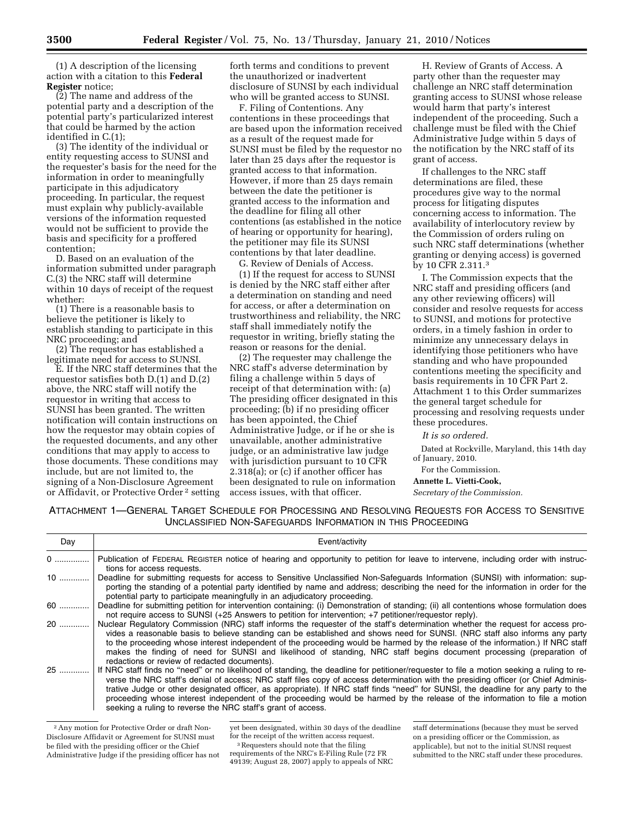(1) A description of the licensing action with a citation to this **Federal Register** notice;

(2) The name and address of the potential party and a description of the potential party's particularized interest that could be harmed by the action identified in C.(1);

(3) The identity of the individual or entity requesting access to SUNSI and the requester's basis for the need for the information in order to meaningfully participate in this adjudicatory proceeding. In particular, the request must explain why publicly-available versions of the information requested would not be sufficient to provide the basis and specificity for a proffered contention;

D. Based on an evaluation of the information submitted under paragraph C.(3) the NRC staff will determine within 10 days of receipt of the request whether:

(1) There is a reasonable basis to believe the petitioner is likely to establish standing to participate in this NRC proceeding; and

(2) The requestor has established a legitimate need for access to SUNSI.

E. If the NRC staff determines that the requestor satisfies both D.(1) and D.(2) above, the NRC staff will notify the requestor in writing that access to SUNSI has been granted. The written notification will contain instructions on how the requestor may obtain copies of the requested documents, and any other conditions that may apply to access to those documents. These conditions may include, but are not limited to, the signing of a Non-Disclosure Agreement or Affidavit, or Protective Order 2 setting forth terms and conditions to prevent the unauthorized or inadvertent disclosure of SUNSI by each individual who will be granted access to SUNSI.

F. Filing of Contentions. Any contentions in these proceedings that are based upon the information received as a result of the request made for SUNSI must be filed by the requestor no later than 25 days after the requestor is granted access to that information. However, if more than 25 days remain between the date the petitioner is granted access to the information and the deadline for filing all other contentions (as established in the notice of hearing or opportunity for hearing), the petitioner may file its SUNSI contentions by that later deadline.

G. Review of Denials of Access.

(1) If the request for access to SUNSI is denied by the NRC staff either after a determination on standing and need for access, or after a determination on trustworthiness and reliability, the NRC staff shall immediately notify the requestor in writing, briefly stating the reason or reasons for the denial.

(2) The requester may challenge the NRC staff's adverse determination by filing a challenge within 5 days of receipt of that determination with: (a) The presiding officer designated in this proceeding; (b) if no presiding officer has been appointed, the Chief Administrative Judge, or if he or she is unavailable, another administrative judge, or an administrative law judge with jurisdiction pursuant to 10 CFR 2.318(a); or (c) if another officer has been designated to rule on information access issues, with that officer.

H. Review of Grants of Access. A party other than the requester may challenge an NRC staff determination granting access to SUNSI whose release would harm that party's interest independent of the proceeding. Such a challenge must be filed with the Chief Administrative Judge within 5 days of the notification by the NRC staff of its grant of access.

If challenges to the NRC staff determinations are filed, these procedures give way to the normal process for litigating disputes concerning access to information. The availability of interlocutory review by the Commission of orders ruling on such NRC staff determinations (whether granting or denying access) is governed by 10 CFR 2.311.3

I. The Commission expects that the NRC staff and presiding officers (and any other reviewing officers) will consider and resolve requests for access to SUNSI, and motions for protective orders, in a timely fashion in order to minimize any unnecessary delays in identifying those petitioners who have standing and who have propounded contentions meeting the specificity and basis requirements in 10 CFR Part 2. Attachment 1 to this Order summarizes the general target schedule for processing and resolving requests under these procedures.

*It is so ordered.* 

Dated at Rockville, Maryland, this 14th day of January, 2010.

For the Commission.

## **Annette L. Vietti-Cook,**

*Secretary of the Commission.* 

ATTACHMENT 1—GENERAL TARGET SCHEDULE FOR PROCESSING AND RESOLVING REQUESTS FOR ACCESS TO SENSITIVE UNCLASSIFIED NON-SAFEGUARDS INFORMATION IN THIS PROCEEDING

| Day   | Event/activity                                                                                                                                                                                                                                                                                                                                                                                                                                                                                                                                                                                                      |
|-------|---------------------------------------------------------------------------------------------------------------------------------------------------------------------------------------------------------------------------------------------------------------------------------------------------------------------------------------------------------------------------------------------------------------------------------------------------------------------------------------------------------------------------------------------------------------------------------------------------------------------|
| 0     | Publication of FEDERAL REGISTER notice of hearing and opportunity to petition for leave to intervene, including order with instruc-<br>tions for access requests.                                                                                                                                                                                                                                                                                                                                                                                                                                                   |
| 10    | Deadline for submitting requests for access to Sensitive Unclassified Non-Safequards Information (SUNSI) with information: sup-<br>porting the standing of a potential party identified by name and address; describing the need for the information in order for the<br>potential party to participate meaningfully in an adjudicatory proceeding.                                                                                                                                                                                                                                                                 |
| 60  1 | Deadline for submitting petition for intervention containing: (i) Demonstration of standing; (ii) all contentions whose formulation does<br>not require access to SUNSI (+25 Answers to petition for intervention; +7 petitioner/requestor reply).                                                                                                                                                                                                                                                                                                                                                                  |
| 20    | Nuclear Regulatory Commission (NRC) staff informs the requester of the staff's determination whether the request for access pro-<br>vides a reasonable basis to believe standing can be established and shows need for SUNSI. (NRC staff also informs any party<br>to the proceeding whose interest independent of the proceeding would be harmed by the release of the information.) If NRC staff<br>makes the finding of need for SUNSI and likelihood of standing. NRC staff begins document processing (preparation of<br>redactions or review of redacted documents).                                          |
| 25    | If NRC staff finds no "need" or no likelihood of standing, the deadline for petitioner/requester to file a motion seeking a ruling to re-<br>verse the NRC staff's denial of access; NRC staff files copy of access determination with the presiding officer (or Chief Adminis-<br>trative Judge or other designated officer, as appropriate). If NRC staff finds "need" for SUNSI, the deadline for any party to the<br>proceeding whose interest independent of the proceeding would be harmed by the release of the information to file a motion<br>seeking a ruling to reverse the NRC staff's grant of access. |

<sup>2</sup>Any motion for Protective Order or draft Non-Disclosure Affidavit or Agreement for SUNSI must be filed with the presiding officer or the Chief Administrative Judge if the presiding officer has not

<sup>3</sup>Requesters should note that the filing

requirements of the NRC's E-Filing Rule (72 FR 49139; August 28, 2007) apply to appeals of NRC

staff determinations (because they must be served on a presiding officer or the Commission, as applicable), but not to the initial SUNSI request submitted to the NRC staff under these procedures.

yet been designated, within 30 days of the deadline for the receipt of the written access request.